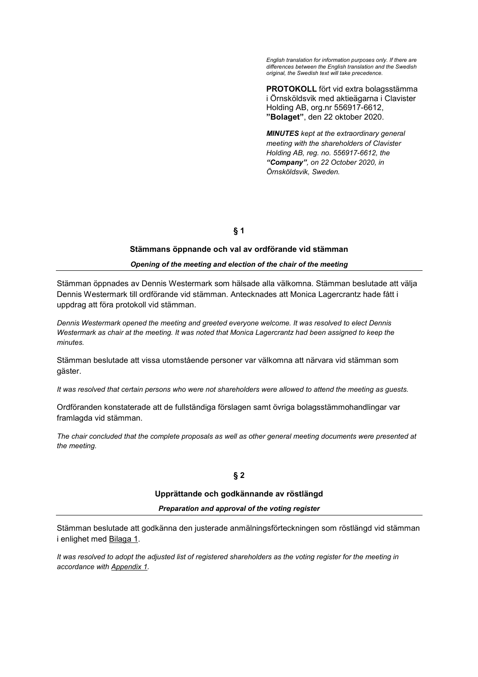*English translation for information purposes only. If there are differences between the English translation and the Swedish original, the Swedish text will take precedence.* 

**PROTOKOLL** fört vid extra bolagsstämma i Örnsköldsvik med aktieägarna i Clavister Holding AB, org.nr 556917-6612, **"Bolaget"**, den 22 oktober 2020.

*MINUTES kept at the extraordinary general meeting with the shareholders of Clavister Holding AB, reg. no. 556917-6612, the "Company", on 22 October 2020, in Örnsköldsvik, Sweden.*

**§ 1** 

## **Stämmans öppnande och val av ordförande vid stämman**

#### *Opening of the meeting and election of the chair of the meeting*

Stämman öppnades av Dennis Westermark som hälsade alla välkomna. Stämman beslutade att välja Dennis Westermark till ordförande vid stämman. Antecknades att Monica Lagercrantz hade fått i uppdrag att föra protokoll vid stämman.

*Dennis Westermark opened the meeting and greeted everyone welcome. It was resolved to elect Dennis Westermark as chair at the meeting. It was noted that Monica Lagercrantz had been assigned to keep the minutes.* 

Stämman beslutade att vissa utomstående personer var välkomna att närvara vid stämman som gäster.

*It was resolved that certain persons who were not shareholders were allowed to attend the meeting as guests.*

Ordföranden konstaterade att de fullständiga förslagen samt övriga bolagsstämmohandlingar var framlagda vid stämman.

*The chair concluded that the complete proposals as well as other general meeting documents were presented at the meeting.* 

#### **Upprättande och godkännande av röstlängd**

*Preparation and approval of the voting register* 

Stämman beslutade att godkänna den justerade anmälningsförteckningen som röstlängd vid stämman i enlighet med Bilaga 1.

*It was resolved to adopt the adjusted list of registered shareholders as the voting register for the meeting in accordance with Appendix 1.*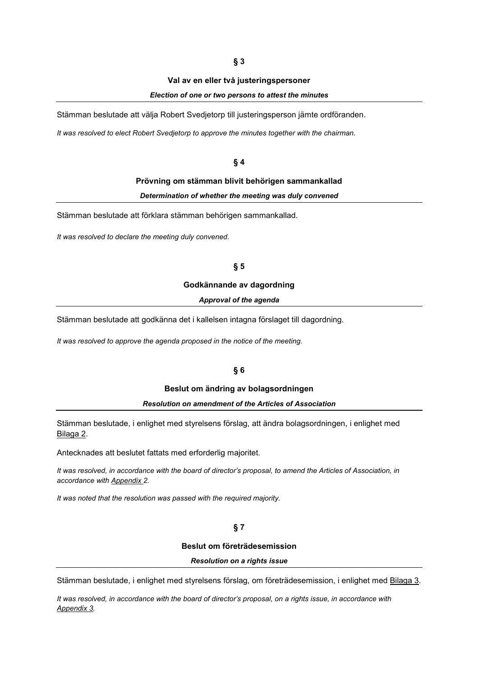# **§ 3**

#### **Val av en eller två justeringspersoner**

### *Election of one or two persons to attest the minutes*

Stämman beslutade att välja Robert Svedjetorp till justeringsperson jämte ordföranden.

*It was resolved to elect Robert Svedjetorp to approve the minutes together with the chairman.* 

#### **§ 4**

#### **Prövning om stämman blivit behörigen sammankallad**

*Determination of whether the meeting was duly convened* 

Stämman beslutade att förklara stämman behörigen sammankallad.

*It was resolved to declare the meeting duly convened.* 

### **§ 5**

## **Godkännande av dagordning**

*Approval of the agenda* 

Stämman beslutade att godkänna det i kallelsen intagna förslaget till dagordning.

*It was resolved to approve the agenda proposed in the notice of the meeting.* 

### **§ 6**

### **Beslut om ändring av bolagsordningen**

#### *Resolution on amendment of the Articles of Association*

Stämman beslutade, i enlighet med styrelsens förslag, att ändra bolagsordningen, i enlighet med Bilaga 2.

Antecknades att beslutet fattats med erforderlig majoritet.

*It was resolved, in accordance with the board of director's proposal, to amend the Articles of Association, in accordance with Appendix 2.* 

*It was noted that the resolution was passed with the required majority.* 

## **§ 7**

### **Beslut om företrädesemission**

#### *Resolution on a rights issue*

Stämman beslutade, i enlighet med styrelsens förslag, om företrädesemission, i enlighet med Bilaga 3.

*It was resolved, in accordance with the board of director's proposal, on a rights issue, in accordance with Appendix 3.*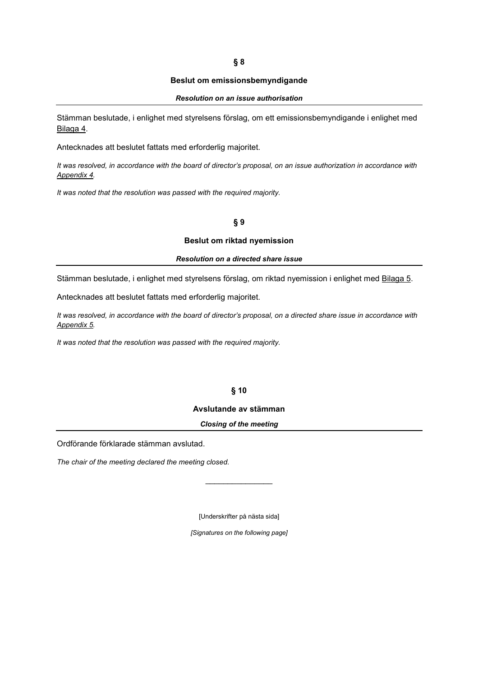## **§ 8**

#### **Beslut om emissionsbemyndigande**

#### *Resolution on an issue authorisation*

Stämman beslutade, i enlighet med styrelsens förslag, om ett emissionsbemyndigande i enlighet med Bilaga 4.

Antecknades att beslutet fattats med erforderlig majoritet.

*It was resolved, in accordance with the board of director's proposal, on an issue authorization in accordance with Appendix 4.* 

*It was noted that the resolution was passed with the required majority.* 

# **§ 9**

#### **Beslut om riktad nyemission**

### *Resolution on a directed share issue*

Stämman beslutade, i enlighet med styrelsens förslag, om riktad nyemission i enlighet med Bilaga 5.

Antecknades att beslutet fattats med erforderlig majoritet.

*It was resolved, in accordance with the board of director's proposal, on a directed share issue in accordance with Appendix 5.* 

*It was noted that the resolution was passed with the required majority.* 

# **§ 10**

### **Avslutande av stämman**

#### *Closing of the meeting*

Ordförande förklarade stämman avslutad.

*The chair of the meeting declared the meeting closed.* 

[Underskrifter på nästa sida]

*[Signatures on the following page]*